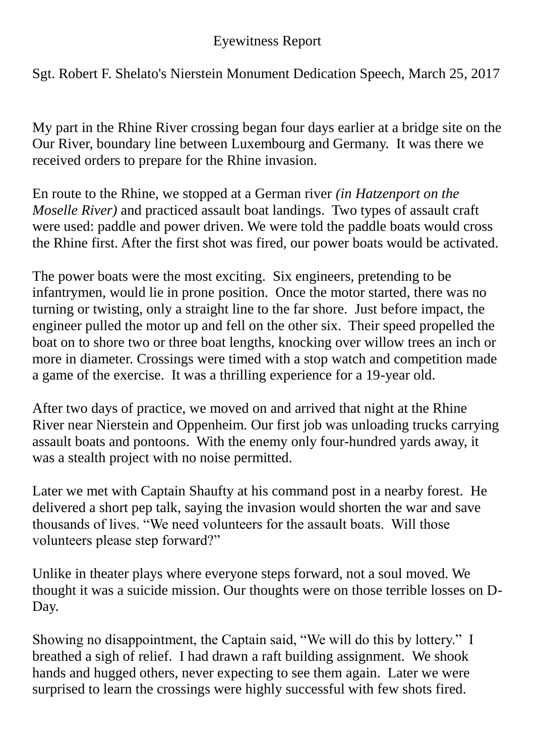## Eyewitness Report

Sgt. Robert F. Shelato's Nierstein Monument Dedication Speech, March 25, 2017

My part in the Rhine River crossing began four days earlier at a bridge site on the Our River, boundary line between Luxembourg and Germany. It was there we received orders to prepare for the Rhine invasion.

En route to the Rhine, we stopped at a German river *(in Hatzenport on the Moselle River)* and practiced assault boat landings. Two types of assault craft were used: paddle and power driven. We were told the paddle boats would cross the Rhine first. After the first shot was fired, our power boats would be activated.

The power boats were the most exciting. Six engineers, pretending to be infantrymen, would lie in prone position. Once the motor started, there was no turning or twisting, only a straight line to the far shore. Just before impact, the engineer pulled the motor up and fell on the other six. Their speed propelled the boat on to shore two or three boat lengths, knocking over willow trees an inch or more in diameter. Crossings were timed with a stop watch and competition made a game of the exercise. It was a thrilling experience for a 19-year old.

After two days of practice, we moved on and arrived that night at the Rhine River near Nierstein and Oppenheim. Our first job was unloading trucks carrying assault boats and pontoons. With the enemy only four-hundred yards away, it was a stealth project with no noise permitted.

Later we met with Captain Shaufty at his command post in a nearby forest. He delivered a short pep talk, saying the invasion would shorten the war and save thousands of lives. "We need volunteers for the assault boats. Will those volunteers please step forward?"

Unlike in theater plays where everyone steps forward, not a soul moved. We thought it was a suicide mission. Our thoughts were on those terrible losses on D-Day.

Showing no disappointment, the Captain said, "We will do this by lottery." I breathed a sigh of relief. I had drawn a raft building assignment. We shook hands and hugged others, never expecting to see them again. Later we were surprised to learn the crossings were highly successful with few shots fired.